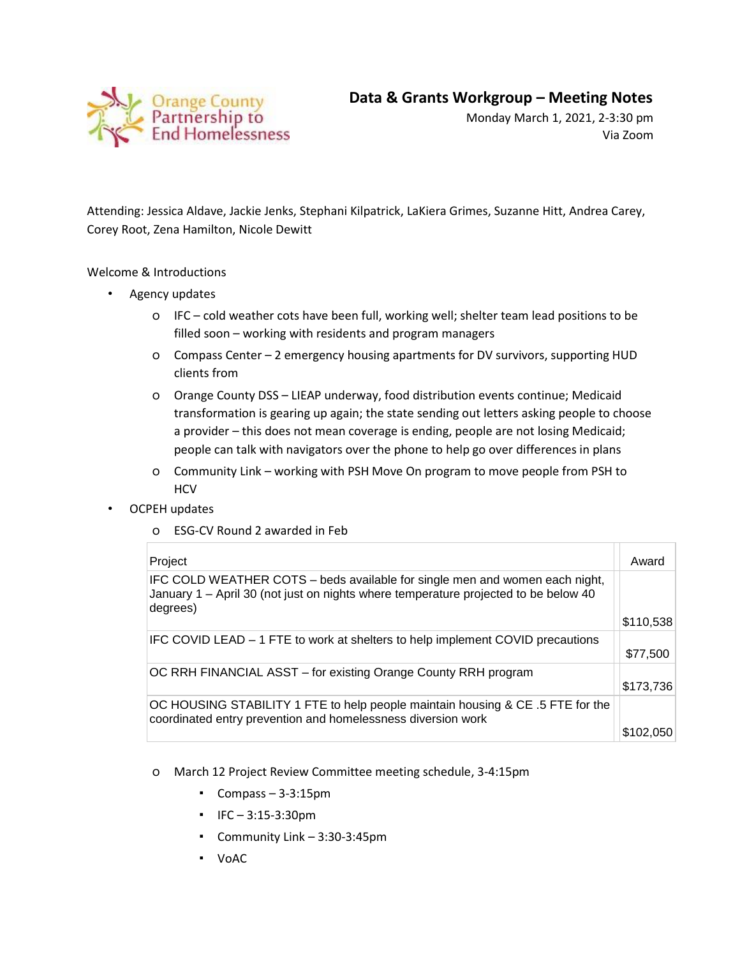

Monday March 1, 2021, 2-3:30 pm Via Zoom

Attending: Jessica Aldave, Jackie Jenks, Stephani Kilpatrick, LaKiera Grimes, Suzanne Hitt, Andrea Carey, Corey Root, Zena Hamilton, Nicole Dewitt

## Welcome & Introductions

- Agency updates
	- o IFC cold weather cots have been full, working well; shelter team lead positions to be filled soon – working with residents and program managers
	- o Compass Center 2 emergency housing apartments for DV survivors, supporting HUD clients from
	- o Orange County DSS LIEAP underway, food distribution events continue; Medicaid transformation is gearing up again; the state sending out letters asking people to choose a provider – this does not mean coverage is ending, people are not losing Medicaid; people can talk with navigators over the phone to help go over differences in plans
	- o Community Link working with PSH Move On program to move people from PSH to **HCV**
- OCPEH updates
	- o ESG-CV Round 2 awarded in Feb

| Project                                                                                                                                                                        | Award     |
|--------------------------------------------------------------------------------------------------------------------------------------------------------------------------------|-----------|
| IFC COLD WEATHER COTS – beds available for single men and women each night,<br>January 1 - April 30 (not just on nights where temperature projected to be below 40<br>degrees) |           |
|                                                                                                                                                                                | \$110,538 |
| IFC COVID LEAD – 1 FTE to work at shelters to help implement COVID precautions                                                                                                 |           |
|                                                                                                                                                                                | \$77,500  |
| OC RRH FINANCIAL ASST - for existing Orange County RRH program                                                                                                                 |           |
|                                                                                                                                                                                | \$173,736 |
| OC HOUSING STABILITY 1 FTE to help people maintain housing & CE .5 FTE for the<br>coordinated entry prevention and homelessness diversion work                                 |           |
|                                                                                                                                                                                | \$102.050 |

- o March 12 Project Review Committee meeting schedule, 3-4:15pm
	- Compass 3-3:15pm
	- IFC 3:15-3:30pm
	- Community Link 3:30-3:45pm
	- VoAC